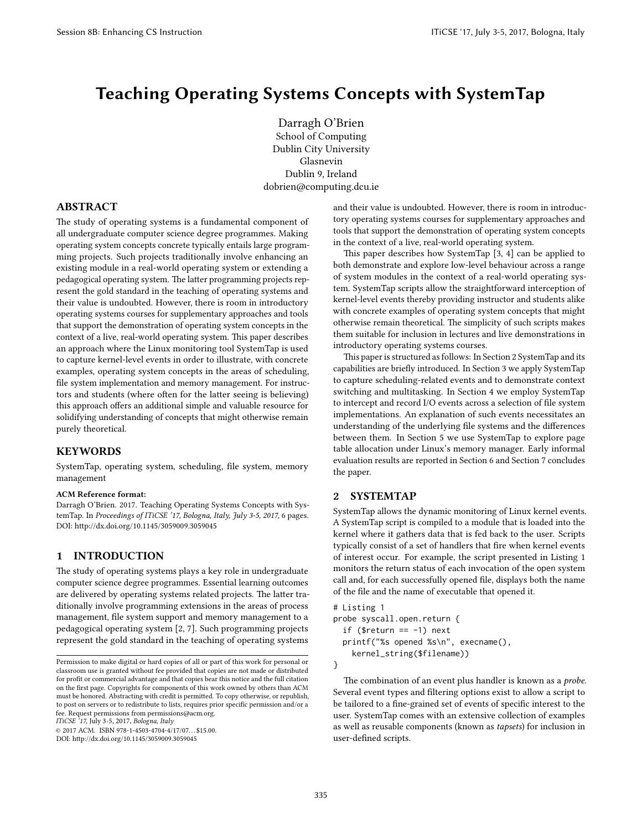# Teaching Operating Systems Concepts with SystemTap

Darragh O'Brien School of Computing Dublin City University Glasnevin Dublin 9, Ireland dobrien@computing.dcu.ie

# ABSTRACT

The study of operating systems is a fundamental component of all undergraduate computer science degree programmes. Making operating system concepts concrete typically entails large programming projects. Such projects traditionally involve enhancing an existing module in a real-world operating system or extending a pedagogical operating system. The latter programming projects represent the gold standard in the teaching of operating systems and their value is undoubted. However, there is room in introductory operating systems courses for supplementary approaches and tools that support the demonstration of operating system concepts in the context of a live, real-world operating system. This paper describes an approach where the Linux monitoring tool SystemTap is used to capture kernel-level events in order to illustrate, with concrete examples, operating system concepts in the areas of scheduling, file system implementation and memory management. For instructors and students (where often for the latter seeing is believing) this approach offers an additional simple and valuable resource for solidifying understanding of concepts that might otherwise remain purely theoretical.

## **KEYWORDS**

SystemTap, operating system, scheduling, file system, memory management

#### ACM Reference format:

Darragh O'Brien. 2017. Teaching Operating Systems Concepts with Sys-temTap. In Proceedings of ITiCSE '17, Bologna, Italy, July 3-5, 2017, [6](#page-5-0) pages. DOI: http://dx.doi.org/10.1145/3059009.3059045

## 1 INTRODUCTION

The study of operating systems plays a key role in undergraduate computer science degree programmes. Essential learning outcomes are delivered by operating systems related projects. The latter traditionally involve programming extensions in the areas of process management, file system support and memory management to a pedagogical operating system [\[2,](#page-5-1) [7\]](#page-5-2). Such programming projects represent the gold standard in the teaching of operating systems

ITiCSE<sup>3</sup>17, July 3-5, 2017, Bologna, Italy

© 2017 ACM. ISBN 978-1-4503-4704-4/17/07. . . \$15.00.

DOI: http://dx.doi.org/10.1145/3059009.3059045

and their value is undoubted. However, there is room in introductory operating systems courses for supplementary approaches and tools that support the demonstration of operating system concepts in the context of a live, real-world operating system.

This paper describes how SystemTap [\[3,](#page-5-3) [4\]](#page-5-4) can be applied to both demonstrate and explore low-level behaviour across a range of system modules in the context of a real-world operating system. SystemTap scripts allow the straightforward interception of kernel-level events thereby providing instructor and students alike with concrete examples of operating system concepts that might otherwise remain theoretical. The simplicity of such scripts makes them suitable for inclusion in lectures and live demonstrations in introductory operating systems courses.

This paper is structured as follows: In Section [2](#page-0-0) SystemTap and its capabilities are briefly introduced. In Section [3](#page-1-0) we apply SystemTap to capture scheduling-related events and to demonstrate context switching and multitasking. In Section [4](#page-2-0) we employ SystemTap to intercept and record I/O events across a selection of file system implementations. An explanation of such events necessitates an understanding of the underlying file systems and the differences between them. In Section [5](#page-4-0) we use SystemTap to explore page table allocation under Linux's memory manager. Early informal evaluation results are reported in Section [6](#page-5-5) and Section [7](#page-5-6) concludes the paper.

## <span id="page-0-0"></span>2 SYSTEMTAP

SystemTap allows the dynamic monitoring of Linux kernel events. A SystemTap script is compiled to a module that is loaded into the kernel where it gathers data that is fed back to the user. Scripts typically consist of a set of handlers that fire when kernel events of interest occur. For example, the script presented in Listing 1 monitors the return status of each invocation of the open system call and, for each successfully opened file, displays both the name of the file and the name of executable that opened it.

```
# Listing 1
probe syscall.open.return {
  if ($return == -1) next
  printf("%s opened %s\n", execname(),
    kernel_string($filename))
```
#### }

The combination of an event plus handler is known as a probe. Several event types and filtering options exist to allow a script to be tailored to a fine-grained set of events of specific interest to the user. SystemTap comes with an extensive collection of examples as well as reusable components (known as tapsets) for inclusion in user-defined scripts.

Permission to make digital or hard copies of all or part of this work for personal or classroom use is granted without fee provided that copies are not made or distributed for profit or commercial advantage and that copies bear this notice and the full citation on the first page. Copyrights for components of this work owned by others than ACM must be honored. Abstracting with credit is permitted. To copy otherwise, or republish, to post on servers or to redistribute to lists, requires prior specific permission and/or a fee. Request permissions from permissions@acm.org.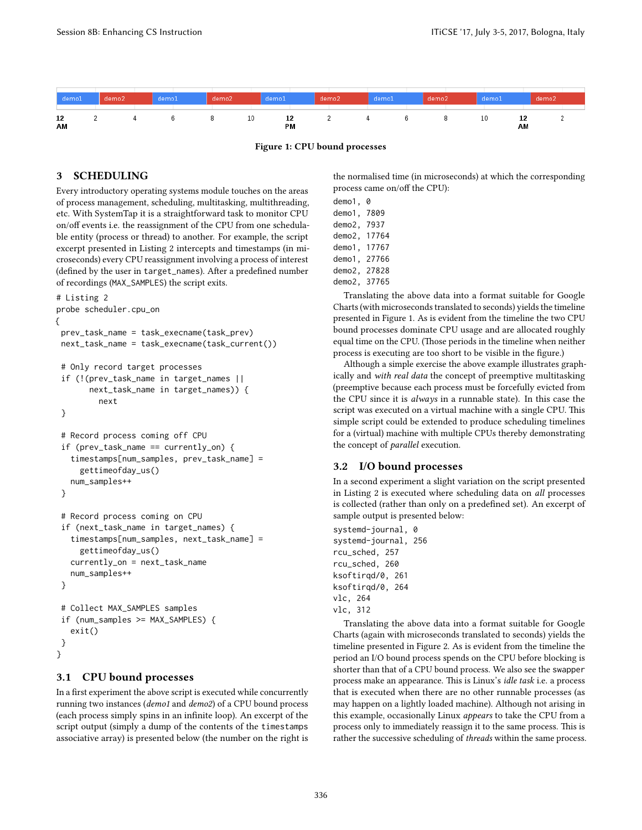<span id="page-1-1"></span>

Figure 1: CPU bound processes

# <span id="page-1-0"></span>3 SCHEDULING

Every introductory operating systems module touches on the areas of process management, scheduling, multitasking, multithreading, etc. With SystemTap it is a straightforward task to monitor CPU on/off events i.e. the reassignment of the CPU from one schedulable entity (process or thread) to another. For example, the script excerpt presented in Listing 2 intercepts and timestamps (in microseconds) every CPU reassignment involving a process of interest (defined by the user in target\_names). After a predefined number of recordings (MAX\_SAMPLES) the script exits.

```
# Listing 2
probe scheduler.cpu_on
{
prev_task_name = task_execname(task_prev)
next_task_name = task_execname(task_current())
 # Only record target processes
 if (!(prev_task_name in target_names ||
       next_task_name in target_names)) {
         next
}
 # Record process coming off CPU
```

```
if (prev_task_name == \text{currently\_on}) {
  timestamps[num_samples, prev_task_name] =
    gettimeofday_us()
  num_samples++
}
```

```
# Record process coming on CPU
if (next_task_name in target_names) {
  timestamps[num_samples, next_task_name] =
    gettimeofday_us()
  currently_on = next_task_name
  num_samples++
}
# Collect MAX_SAMPLES samples
if (num_samples >= MAX_SAMPLES) {
  exit()
}
```
# 3.1 CPU bound processes

}

In a first experiment the above script is executed while concurrently running two instances (demo1 and demo2) of a CPU bound process (each process simply spins in an infinite loop). An excerpt of the script output (simply a dump of the contents of the timestamps associative array) is presented below (the number on the right is the normalised time (in microseconds) at which the corresponding process came on/off the CPU):

demo1, 0 demo1, 7809 demo2, 7937 demo2, 17764 demo1, 17767 demo1, 27766 demo2, 27828

demo2, 37765

Translating the above data into a format suitable for Google Charts (with microseconds translated to seconds) yields the timeline presented in Figure [1.](#page-1-1) As is evident from the timeline the two CPU bound processes dominate CPU usage and are allocated roughly equal time on the CPU. (Those periods in the timeline when neither process is executing are too short to be visible in the figure.)

Although a simple exercise the above example illustrates graphically and with real data the concept of preemptive multitasking (preemptive because each process must be forcefully evicted from the CPU since it is always in a runnable state). In this case the script was executed on a virtual machine with a single CPU. This simple script could be extended to produce scheduling timelines for a (virtual) machine with multiple CPUs thereby demonstrating the concept of parallel execution.

# 3.2 I/O bound processes

In a second experiment a slight variation on the script presented in Listing 2 is executed where scheduling data on all processes is collected (rather than only on a predefined set). An excerpt of sample output is presented below:

```
systemd-journal, 0
systemd-journal, 256
rcu_sched, 257
rcu_sched, 260
ksoftirqd/0, 261
ksoftirqd/0, 264
vlc, 264
vlc, 312
```
Translating the above data into a format suitable for Google Charts (again with microseconds translated to seconds) yields the timeline presented in Figure [2.](#page-2-1) As is evident from the timeline the period an I/O bound process spends on the CPU before blocking is shorter than that of a CPU bound process. We also see the swapper process make an appearance. This is Linux's idle task i.e. a process that is executed when there are no other runnable processes (as may happen on a lightly loaded machine). Although not arising in this example, occasionally Linux appears to take the CPU from a process only to immediately reassign it to the same process. This is rather the successive scheduling of threads within the same process.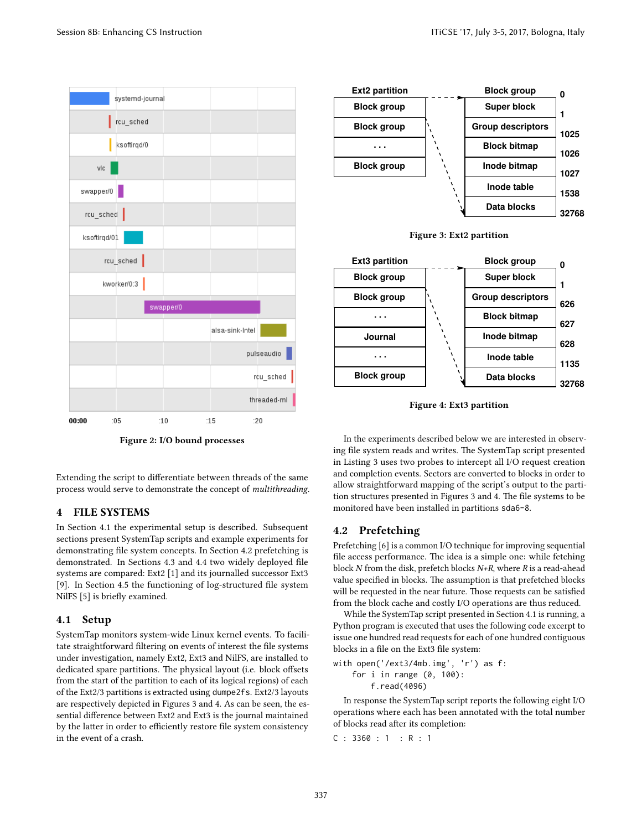<span id="page-2-1"></span>

Figure 2: I/O bound processes

Extending the script to differentiate between threads of the same process would serve to demonstrate the concept of multithreading.

## <span id="page-2-0"></span>4 FILE SYSTEMS

In Section [4.1](#page-2-2) the experimental setup is described. Subsequent sections present SystemTap scripts and example experiments for demonstrating file system concepts. In Section [4.2](#page-2-3) prefetching is demonstrated. In Sections [4.3](#page-3-0) and [4.4](#page-3-1) two widely deployed file systems are compared: Ext2 [\[1\]](#page-5-7) and its journalled successor Ext3 [\[9\]](#page-5-8). In Section [4.5](#page-4-1) the functioning of log-structured file system NilFS [\[5\]](#page-5-9) is briefly examined.

## <span id="page-2-2"></span>4.1 Setup

SystemTap monitors system-wide Linux kernel events. To facilitate straightforward filtering on events of interest the file systems under investigation, namely Ext2, Ext3 and NilFS, are installed to dedicated spare partitions. The physical layout (i.e. block offsets from the start of the partition to each of its logical regions) of each of the Ext2/3 partitions is extracted using dumpe2fs. Ext2/3 layouts are respectively depicted in Figures [3](#page-2-4) and [4.](#page-2-5) As can be seen, the essential difference between Ext2 and Ext3 is the journal maintained by the latter in order to efficiently restore file system consistency in the event of a crash.

<span id="page-2-4"></span>

Figure 3: Ext2 partition

<span id="page-2-5"></span>

Figure 4: Ext3 partition

In the experiments described below we are interested in observing file system reads and writes. The SystemTap script presented in Listing 3 uses two probes to intercept all I/O request creation and completion events. Sectors are converted to blocks in order to allow straightforward mapping of the script's output to the parti-tion structures presented in Figures [3](#page-2-4) and [4.](#page-2-5) The file systems to be monitored have been installed in partitions sda6-8.

# <span id="page-2-3"></span>4.2 Prefetching

Prefetching [\[6\]](#page-5-10) is a common I/O technique for improving sequential file access performance. The idea is a simple one: while fetching block  $N$  from the disk, prefetch blocks  $N+R$ , where  $R$  is a read-ahead value specified in blocks. The assumption is that prefetched blocks will be requested in the near future. Those requests can be satisfied from the block cache and costly I/O operations are thus reduced.

While the SystemTap script presented in Section [4.1](#page-2-2) is running, a Python program is executed that uses the following code excerpt to issue one hundred read requests for each of one hundred contiguous blocks in a file on the Ext3 file system:

with open('/ext3/4mb.img', 'r') as f:

- for i in range (0, 100):
	- f.read(4096)

In response the SystemTap script reports the following eight I/O operations where each has been annotated with the total number of blocks read after its completion:

C : 3360 : 1 : R : 1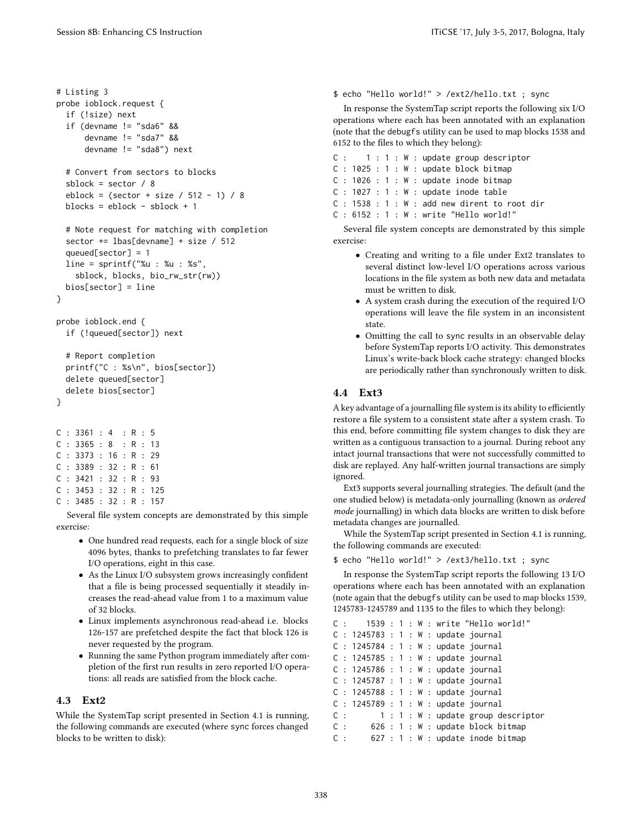```
# Listing 3
probe ioblock.request {
  if (!size) next
  if (devname != "sda6" &&
      devname != "sda7" &&
      devname != "sda8") next
  # Convert from sectors to blocks
  sblock = sector / 8
  eblock = (sector + size / 512 - 1) / 8
  blocks = eblock - sblock + 1
  # Note request for matching with completion
  sector += lbas[devname] + size / 512
  queued[sector] = 1
  line = springintf("%u : %u : %s",sblock, blocks, bio_rw_str(rw))
  bios[sector] = line
}
probe ioblock.end {
  if (!queued[sector]) next
```

```
# Report completion
  printf("C : %s\n", bios[sector])
  delete queued[sector]
  delete bios[sector]
}
```

```
C : 3361 : 4 : R : 5
C : 3365 : 8 : R : 13
C : 3373 : 16 : R : 29
C : 3389 : 32 : R : 61
C : 3421 : 32 : R : 93
C : 3453 : 32 : R : 125
C : 3485 : 32 : R : 157
```
Several file system concepts are demonstrated by this simple exercise:

- One hundred read requests, each for a single block of size 4096 bytes, thanks to prefetching translates to far fewer I/O operations, eight in this case.
- $\bullet$  As the Linux I/O subsystem grows increasingly confident that a file is being processed sequentially it steadily increases the read-ahead value from 1 to a maximum value of 32 blocks.
- Linux implements asynchronous read-ahead i.e. blocks 126-157 are prefetched despite the fact that block 126 is never requested by the program.
- Running the same Python program immediately after completion of the first run results in zero reported I/O operations: all reads are satisfied from the block cache.

## <span id="page-3-0"></span>4.3 Ext2

While the SystemTap script presented in Section [4.1](#page-2-2) is running, the following commands are executed (where sync forces changed blocks to be written to disk):

\$ echo "Hello world!" > /ext2/hello.txt ; sync

In response the SystemTap script reports the following six I/O operations where each has been annotated with an explanation (note that the debugfs utility can be used to map blocks 1538 and 6152 to the files to which they belong):

C : 1 : 1 : W : update group descriptor C : 1025 : 1 : W : update block bitmap C : 1026 : 1 : W : update inode bitmap C : 1027 : 1 : W : update inode table C : 1538 : 1 : W : add new dirent to root dir C : 6152 : 1 : W : write "Hello world!"

Several file system concepts are demonstrated by this simple exercise:

- Creating and writing to a file under Ext2 translates to several distinct low-level I/O operations across various locations in the file system as both new data and metadata must be written to disk.
- A system crash during the execution of the required I/O operations will leave the file system in an inconsistent state.
- Omitting the call to sync results in an observable delay before SystemTap reports I/O activity. This demonstrates Linux's write-back block cache strategy: changed blocks are periodically rather than synchronously written to disk.

### <span id="page-3-1"></span>4.4 Ext3

A key advantage of a journalling file system is its ability to efficiently restore a file system to a consistent state after a system crash. To this end, before committing file system changes to disk they are written as a contiguous transaction to a journal. During reboot any intact journal transactions that were not successfully committed to disk are replayed. Any half-written journal transactions are simply ignored.

Ext3 supports several journalling strategies. The default (and the one studied below) is metadata-only journalling (known as ordered mode journalling) in which data blocks are written to disk before metadata changes are journalled.

While the SystemTap script presented in Section [4.1](#page-2-2) is running, the following commands are executed:

```
$ echo "Hello world!" > /ext3/hello.txt ; sync
```
In response the SystemTap script reports the following 13 I/O operations where each has been annotated with an explanation (note again that the debugfs utility can be used to map blocks 1539, 1245783-1245789 and 1135 to the files to which they belong):

```
C : 1539 : 1 : W : write "Hello world!"
C : 1245783 : 1 : W : update journal
C : 1245784 : 1 : W : update journal
C : 1245785 : 1 : W : update journal
C : 1245786 : 1 : W : update journal
C : 1245787 : 1 : W : update journal
C : 1245788 : 1 : W : update journal
C : 1245789 : 1 : W : update journal
C : 1 : 1 : W : update group descriptor
C : 626 : 1 : W : update block bitmap
C : 627 : 1 : W : update inode bitmap
```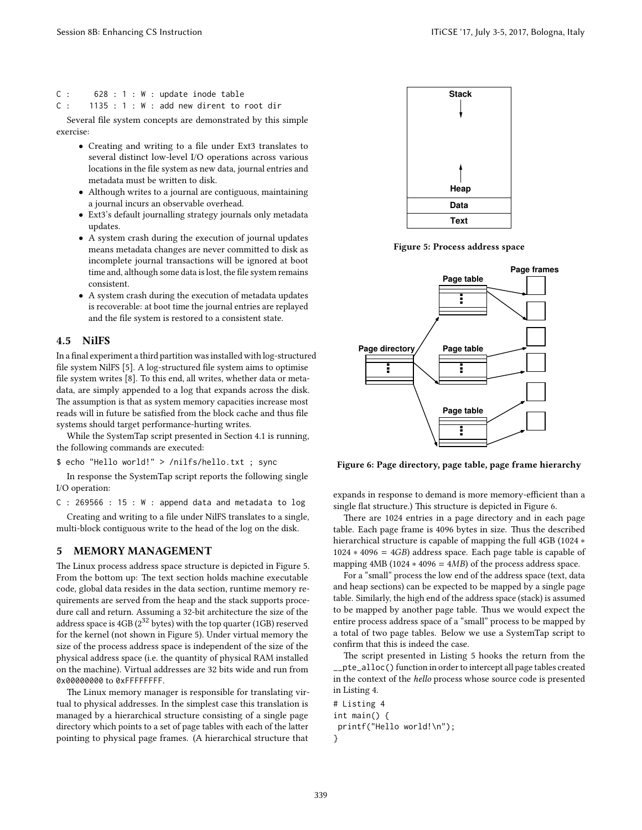|  |  |  |  | C: 628:1:W: update inode table              |
|--|--|--|--|---------------------------------------------|
|  |  |  |  | $C: 1135: 1: W: add new direct to root dir$ |

Several file system concepts are demonstrated by this simple exercise:

- Creating and writing to a file under Ext3 translates to several distinct low-level I/O operations across various locations in the file system as new data, journal entries and metadata must be written to disk.
- Although writes to a journal are contiguous, maintaining a journal incurs an observable overhead.
- Ext3's default journalling strategy journals only metadata updates.
- A system crash during the execution of journal updates means metadata changes are never committed to disk as incomplete journal transactions will be ignored at boot time and, although some data is lost, the file system remains consistent.
- A system crash during the execution of metadata updates is recoverable: at boot time the journal entries are replayed and the file system is restored to a consistent state.

## <span id="page-4-1"></span>4.5 NilFS

In a final experiment a third partition was installed with log-structured file system NilFS [\[5\]](#page-5-9). A log-structured file system aims to optimise file system writes [\[8\]](#page-5-11). To this end, all writes, whether data or metadata, are simply appended to a log that expands across the disk. The assumption is that as system memory capacities increase most reads will in future be satisfied from the block cache and thus file systems should target performance-hurting writes.

While the SystemTap script presented in Section [4.1](#page-2-2) is running, the following commands are executed:

\$ echo "Hello world!" > /nilfs/hello.txt ; sync

In response the SystemTap script reports the following single I/O operation:

C : 269566 : 15 : W : append data and metadata to log

Creating and writing to a file under NilFS translates to a single, multi-block contiguous write to the head of the log on the disk.

#### <span id="page-4-0"></span>5 MEMORY MANAGEMENT

The Linux process address space structure is depicted in Figure [5.](#page-4-2) From the bottom up: The text section holds machine executable code, global data resides in the data section, runtime memory requirements are served from the heap and the stack supports procedure call and return. Assuming a 32-bit architecture the size of the address space is 4GB ( $2^{32}$  bytes) with the top quarter (1GB) reserved for the kernel (not shown in Figure [5\)](#page-4-2). Under virtual memory the size of the process address space is independent of the size of the physical address space (i.e. the quantity of physical RAM installed on the machine). Virtual addresses are 32 bits wide and run from 0x00000000 to 0xFFFFFFFF.

The Linux memory manager is responsible for translating virtual to physical addresses. In the simplest case this translation is managed by a hierarchical structure consisting of a single page directory which points to a set of page tables with each of the latter pointing to physical page frames. (A hierarchical structure that

<span id="page-4-2"></span>

Figure 5: Process address space

<span id="page-4-3"></span>

Figure 6: Page directory, page table, page frame hierarchy

expands in response to demand is more memory-efficient than a single flat structure.) This structure is depicted in Figure [6.](#page-4-3)

There are 1024 entries in a page directory and in each page table. Each page frame is 4096 bytes in size. Thus the described hierarchical structure is capable of mapping the full 4GB (1024 ∗ 1024 ∗ 4096 = 4GB) address space. Each page table is capable of mapping  $4MB$  (1024  $*$  4096 =  $4MB$ ) of the process address space.

For a "small" process the low end of the address space (text, data and heap sections) can be expected to be mapped by a single page table. Similarly, the high end of the address space (stack) is assumed to be mapped by another page table. Thus we would expect the entire process address space of a "small" process to be mapped by a total of two page tables. Below we use a SystemTap script to confirm that this is indeed the case.

The script presented in Listing 5 hooks the return from the \_\_pte\_alloc() function in order to intercept all page tables created in the context of the hello process whose source code is presented in Listing 4.

```
# Listing 4
int main() {
printf("Hello world!\n");
}
```